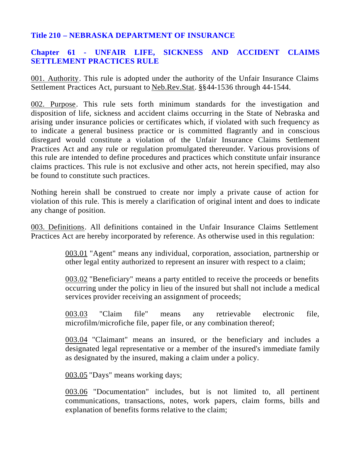## **Title 210 – NEBRASKA DEPARTMENT OF INSURANCE**

# **Chapter 61 - UNFAIR LIFE, SICKNESS AND ACCIDENT CLAIMS SETTLEMENT PRACTICES RULE**

001. Authority. This rule is adopted under the authority of the Unfair Insurance Claims Settlement Practices Act, pursuant to Neb.Rev.Stat. §§44-1536 through 44-1544.

002. Purpose. This rule sets forth minimum standards for the investigation and disposition of life, sickness and accident claims occurring in the State of Nebraska and arising under insurance policies or certificates which, if violated with such frequency as to indicate a general business practice or is committed flagrantly and in conscious disregard would constitute a violation of the Unfair Insurance Claims Settlement Practices Act and any rule or regulation promulgated thereunder. Various provisions of this rule are intended to define procedures and practices which constitute unfair insurance claims practices. This rule is not exclusive and other acts, not herein specified, may also be found to constitute such practices.

Nothing herein shall be construed to create nor imply a private cause of action for violation of this rule. This is merely a clarification of original intent and does to indicate any change of position.

003. Definitions. All definitions contained in the Unfair Insurance Claims Settlement Practices Act are hereby incorporated by reference. As otherwise used in this regulation:

> 003.01 "Agent" means any individual, corporation, association, partnership or other legal entity authorized to represent an insurer with respect to a claim;

> 003.02 "Beneficiary" means a party entitled to receive the proceeds or benefits occurring under the policy in lieu of the insured but shall not include a medical services provider receiving an assignment of proceeds;

> 003.03 "Claim file" means any retrievable electronic file, microfilm/microfiche file, paper file, or any combination thereof;

> 003.04 "Claimant" means an insured, or the beneficiary and includes a designated legal representative or a member of the insured's immediate family as designated by the insured, making a claim under a policy.

003.05 "Days" means working days;

003.06 "Documentation" includes, but is not limited to, all pertinent communications, transactions, notes, work papers, claim forms, bills and explanation of benefits forms relative to the claim;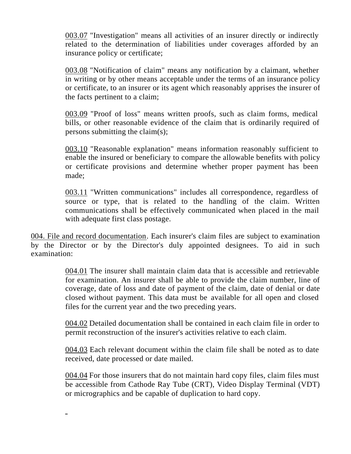003.07 "Investigation" means all activities of an insurer directly or indirectly related to the determination of liabilities under coverages afforded by an insurance policy or certificate;

003.08 "Notification of claim" means any notification by a claimant, whether in writing or by other means acceptable under the terms of an insurance policy or certificate, to an insurer or its agent which reasonably apprises the insurer of the facts pertinent to a claim;

003.09 "Proof of loss" means written proofs, such as claim forms, medical bills, or other reasonable evidence of the claim that is ordinarily required of persons submitting the claim(s);

003.10 "Reasonable explanation" means information reasonably sufficient to enable the insured or beneficiary to compare the allowable benefits with policy or certificate provisions and determine whether proper payment has been made;

003.11 "Written communications" includes all correspondence, regardless of source or type, that is related to the handling of the claim. Written communications shall be effectively communicated when placed in the mail with adequate first class postage.

004. File and record documentation. Each insurer's claim files are subject to examination by the Director or by the Director's duly appointed designees. To aid in such examination:

> 004.01 The insurer shall maintain claim data that is accessible and retrievable for examination. An insurer shall be able to provide the claim number, line of coverage, date of loss and date of payment of the claim, date of denial or date closed without payment. This data must be available for all open and closed files for the current year and the two preceding years.

> 004.02 Detailed documentation shall be contained in each claim file in order to permit reconstruction of the insurer's activities relative to each claim.

> 004.03 Each relevant document within the claim file shall be noted as to date received, date processed or date mailed.

> 004.04 For those insurers that do not maintain hard copy files, claim files must be accessible from Cathode Ray Tube (CRT), Video Display Terminal (VDT) or micrographics and be capable of duplication to hard copy.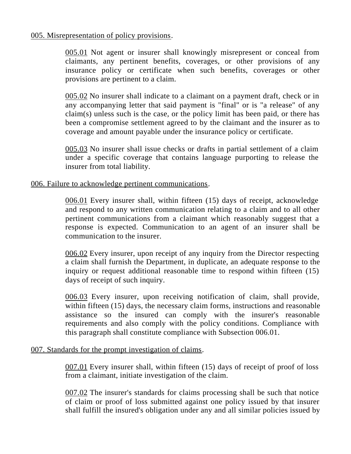### 005. Misrepresentation of policy provisions.

005.01 Not agent or insurer shall knowingly misrepresent or conceal from claimants, any pertinent benefits, coverages, or other provisions of any insurance policy or certificate when such benefits, coverages or other provisions are pertinent to a claim.

005.02 No insurer shall indicate to a claimant on a payment draft, check or in any accompanying letter that said payment is "final" or is "a release" of any claim(s) unless such is the case, or the policy limit has been paid, or there has been a compromise settlement agreed to by the claimant and the insurer as to coverage and amount payable under the insurance policy or certificate.

005.03 No insurer shall issue checks or drafts in partial settlement of a claim under a specific coverage that contains language purporting to release the insurer from total liability.

### 006. Failure to acknowledge pertinent communications.

006.01 Every insurer shall, within fifteen (15) days of receipt, acknowledge and respond to any written communication relating to a claim and to all other pertinent communications from a claimant which reasonably suggest that a response is expected. Communication to an agent of an insurer shall be communication to the insurer.

006.02 Every insurer, upon receipt of any inquiry from the Director respecting a claim shall furnish the Department, in duplicate, an adequate response to the inquiry or request additional reasonable time to respond within fifteen (15) days of receipt of such inquiry.

006.03 Every insurer, upon receiving notification of claim, shall provide, within fifteen (15) days, the necessary claim forms, instructions and reasonable assistance so the insured can comply with the insurer's reasonable requirements and also comply with the policy conditions. Compliance with this paragraph shall constitute compliance with Subsection 006.01.

#### 007. Standards for the prompt investigation of claims.

007.01 Every insurer shall, within fifteen (15) days of receipt of proof of loss from a claimant, initiate investigation of the claim.

007.02 The insurer's standards for claims processing shall be such that notice of claim or proof of loss submitted against one policy issued by that insurer shall fulfill the insured's obligation under any and all similar policies issued by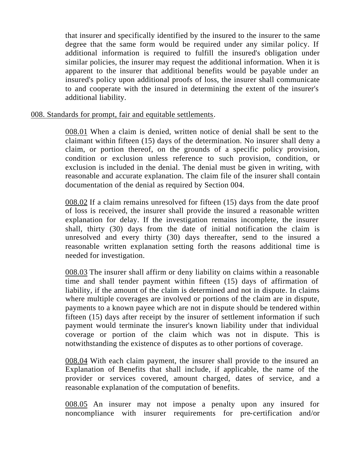that insurer and specifically identified by the insured to the insurer to the same degree that the same form would be required under any similar policy. If additional information is required to fulfill the insured's obligation under similar policies, the insurer may request the additional information. When it is apparent to the insurer that additional benefits would be payable under an insured's policy upon additional proofs of loss, the insurer shall communicate to and cooperate with the insured in determining the extent of the insurer's additional liability.

## 008. Standards for prompt, fair and equitable settlements.

008.01 When a claim is denied, written notice of denial shall be sent to the claimant within fifteen (15) days of the determination. No insurer shall deny a claim, or portion thereof, on the grounds of a specific policy provision, condition or exclusion unless reference to such provision, condition, or exclusion is included in the denial. The denial must be given in writing, with reasonable and accurate explanation. The claim file of the insurer shall contain documentation of the denial as required by Section 004.

008.02 If a claim remains unresolved for fifteen (15) days from the date proof of loss is received, the insurer shall provide the insured a reasonable written explanation for delay. If the investigation remains incomplete, the insurer shall, thirty (30) days from the date of initial notification the claim is unresolved and every thirty (30) days thereafter, send to the insured a reasonable written explanation setting forth the reasons additional time is needed for investigation.

008.03 The insurer shall affirm or deny liability on claims within a reasonable time and shall tender payment within fifteen (15) days of affirmation of liability, if the amount of the claim is determined and not in dispute. In claims where multiple coverages are involved or portions of the claim are in dispute, payments to a known payee which are not in dispute should be tendered within fifteen (15) days after receipt by the insurer of settlement information if such payment would terminate the insurer's known liability under that individual coverage or portion of the claim which was not in dispute. This is notwithstanding the existence of disputes as to other portions of coverage.

008.04 With each claim payment, the insurer shall provide to the insured an Explanation of Benefits that shall include, if applicable, the name of the provider or services covered, amount charged, dates of service, and a reasonable explanation of the computation of benefits.

008.05 An insurer may not impose a penalty upon any insured for noncompliance with insurer requirements for pre-certification and/or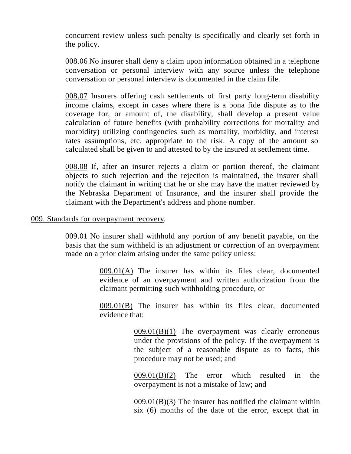concurrent review unless such penalty is specifically and clearly set forth in the policy.

008.06 No insurer shall deny a claim upon information obtained in a telephone conversation or personal interview with any source unless the telephone conversation or personal interview is documented in the claim file.

008.07 Insurers offering cash settlements of first party long-term disability income claims, except in cases where there is a bona fide dispute as to the coverage for, or amount of, the disability, shall develop a present value calculation of future benefits (with probability corrections for mortality and morbidity) utilizing contingencies such as mortality, morbidity, and interest rates assumptions, etc. appropriate to the risk. A copy of the amount so calculated shall be given to and attested to by the insured at settlement time.

008.08 If, after an insurer rejects a claim or portion thereof, the claimant objects to such rejection and the rejection is maintained, the insurer shall notify the claimant in writing that he or she may have the matter reviewed by the Nebraska Department of Insurance, and the insurer shall provide the claimant with the Department's address and phone number.

#### 009. Standards for overpayment recovery.

009.01 No insurer shall withhold any portion of any benefit payable, on the basis that the sum withheld is an adjustment or correction of an overpayment made on a prior claim arising under the same policy unless:

> 009.01(A) The insurer has within its files clear, documented evidence of an overpayment and written authorization from the claimant permitting such withholding procedure, or

> 009.01(B) The insurer has within its files clear, documented evidence that:

> > $009.01(B)(1)$  The overpayment was clearly erroneous under the provisions of the policy. If the overpayment is the subject of a reasonable dispute as to facts, this procedure may not be used; and

> > 009.01(B)(2) The error which resulted in the overpayment is not a mistake of law; and

> > 009.01(B)(3) The insurer has notified the claimant within six (6) months of the date of the error, except that in